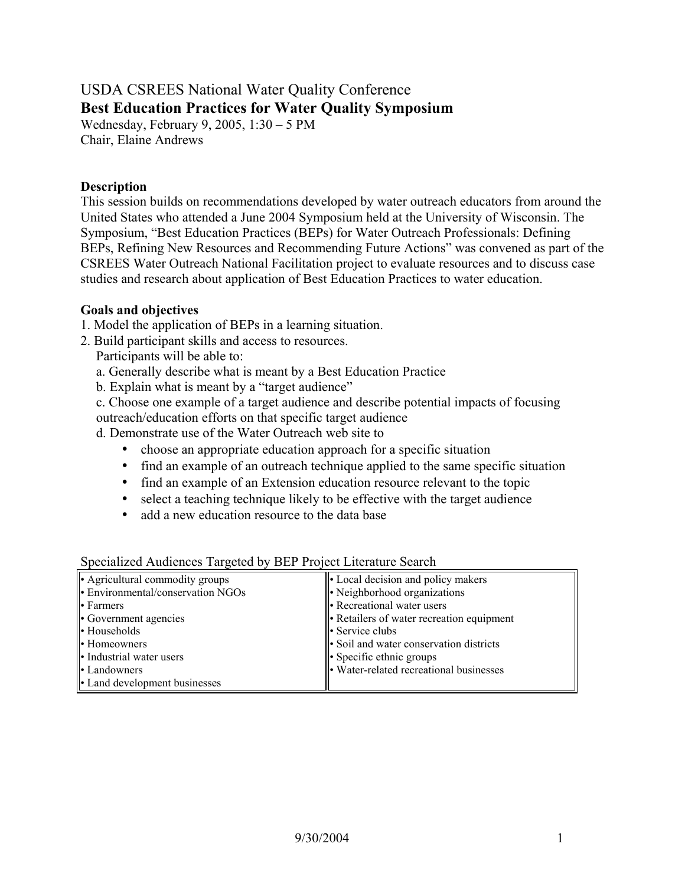## USDA CSREES National Water Quality Conference **Best Education Practices for Water Quality Symposium**

Wednesday, February 9, 2005, 1:30 – 5 PM Chair, Elaine Andrews

#### **Description**

This session builds on recommendations developed by water outreach educators from around the United States who attended a June 2004 Symposium held at the University of Wisconsin. The Symposium, "Best Education Practices (BEPs) for Water Outreach Professionals: Defining BEPs, Refining New Resources and Recommending Future Actions" was convened as part of the CSREES Water Outreach National Facilitation project to evaluate resources and to discuss case studies and research about application of Best Education Practices to water education.

#### **Goals and objectives**

- 1. Model the application of BEPs in a learning situation.
- 2. Build participant skills and access to resources.

Participants will be able to:

- a. Generally describe what is meant by a Best Education Practice
- b. Explain what is meant by a "target audience"
- c. Choose one example of a target audience and describe potential impacts of focusing outreach/education efforts on that specific target audience
- d. Demonstrate use of the Water Outreach web site to
	- choose an appropriate education approach for a specific situation
	- find an example of an outreach technique applied to the same specific situation
	- find an example of an Extension education resource relevant to the topic
	- select a teaching technique likely to be effective with the target audience
	- add a new education resource to the data base

| Agricultural commodity groups<br><b>Environmental/conservation NGOs</b><br>$\cdot$ Farmers<br>$\ \cdot$ Government agencies<br>$\cdot$ Households<br>$\cdot$ Homeowners | <b>.</b> Local decision and policy makers<br>• Neighborhood organizations<br><b>Exercise is a Recreational water users</b><br>lef-Retailers of water recreation equipment<br>ll Service clubs<br>• Soil and water conservation districts |
|-------------------------------------------------------------------------------------------------------------------------------------------------------------------------|------------------------------------------------------------------------------------------------------------------------------------------------------------------------------------------------------------------------------------------|
| le Industrial water users<br>$\  \cdot \ $ Landowners<br><b>-</b> Land development businesses                                                                           | $\ \cdot\ $ Specific ethnic groups<br>• Water-related recreational businesses                                                                                                                                                            |

## Specialized Audiences Targeted by BEP Project Literature Search